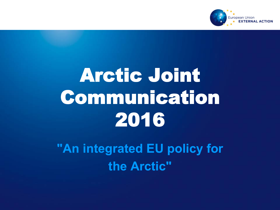

# Arctic Joint Communication 2016

 **"An integrated EU policy for the Arctic"**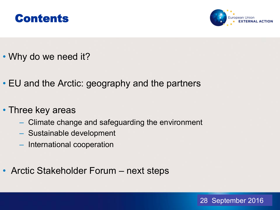



- Why do we need it?
- EU and the Arctic: geography and the partners
- Three key areas
	- Climate change and safeguarding the environment
	- Sustainable development
	- International cooperation
- Arctic Stakeholder Forum next steps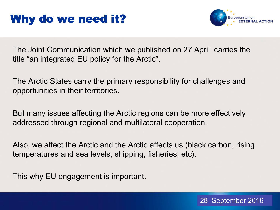## Why do we need it?



The Joint Communication which we published on 27 April carries the title "an integrated EU policy for the Arctic".

The Arctic States carry the primary responsibility for challenges and opportunities in their territories.

But many issues affecting the Arctic regions can be more effectively addressed through regional and multilateral cooperation.

Also, we affect the Arctic and the Arctic affects us (black carbon, rising temperatures and sea levels, shipping, fisheries, etc).

This why EU engagement is important.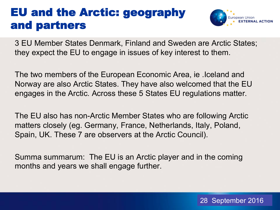#### EU and the Arctic: geography and partners



3 EU Member States Denmark, Finland and Sweden are Arctic States; they expect the EU to engage in issues of key interest to them.

The two members of the European Economic Area, ie .Iceland and Norway are also Arctic States. They have also welcomed that the EU engages in the Arctic. Across these 5 States EU regulations matter.

The EU also has non-Arctic Member States who are following Arctic matters closely (eg. Germany, France, Netherlands, Italy, Poland, Spain, UK. These 7 are observers at the Arctic Council).

Summa summarum: The EU is an Arctic player and in the coming months and years we shall engage further.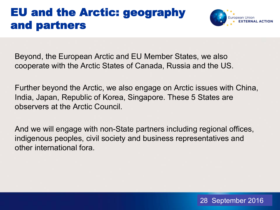#### EU and the Arctic: geography and partners



Beyond, the European Arctic and EU Member States, we also cooperate with the Arctic States of Canada, Russia and the US.

Further beyond the Arctic, we also engage on Arctic issues with China, India, Japan, Republic of Korea, Singapore. These 5 States are observers at the Arctic Council.

And we will engage with non-State partners including regional offices, indigenous peoples, civil society and business representatives and other international fora.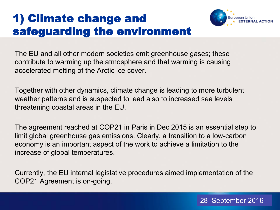# 1) Climate change and safeguarding the environment



The EU and all other modern societies emit greenhouse gases; these contribute to warming up the atmosphere and that warming is causing accelerated melting of the Arctic ice cover.

Together with other dynamics, climate change is leading to more turbulent weather patterns and is suspected to lead also to increased sea levels threatening coastal areas in the EU.

The agreement reached at COP21 in Paris in Dec 2015 is an essential step to limit global greenhouse gas emissions. Clearly, a transition to a low-carbon economy is an important aspect of the work to achieve a limitation to the increase of global temperatures.

Currently, the EU internal legislative procedures aimed implementation of the COP21 Agreement is on-going.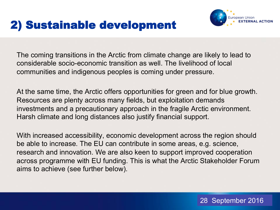## 2) Sustainable development



The coming transitions in the Arctic from climate change are likely to lead to considerable socio-economic transition as well. The livelihood of local communities and indigenous peoples is coming under pressure.

At the same time, the Arctic offers opportunities for green and for blue growth. Resources are plenty across many fields, but exploitation demands investments and a precautionary approach in the fragile Arctic environment. Harsh climate and long distances also justify financial support.

With increased accessibility, economic development across the region should be able to increase. The EU can contribute in some areas, e.g. science, research and innovation. We are also keen to support improved cooperation across programme with EU funding. This is what the Arctic Stakeholder Forum aims to achieve (see further below).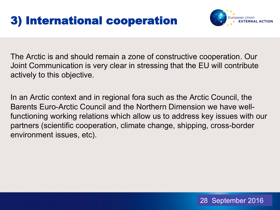# 3) International cooperation



The Arctic is and should remain a zone of constructive cooperation. Our Joint Communication is very clear in stressing that the EU will contribute actively to this objective.

In an Arctic context and in regional fora such as the Arctic Council, the Barents Euro-Arctic Council and the Northern Dimension we have wellfunctioning working relations which allow us to address key issues with our partners (scientific cooperation, climate change, shipping, cross-border environment issues, etc).